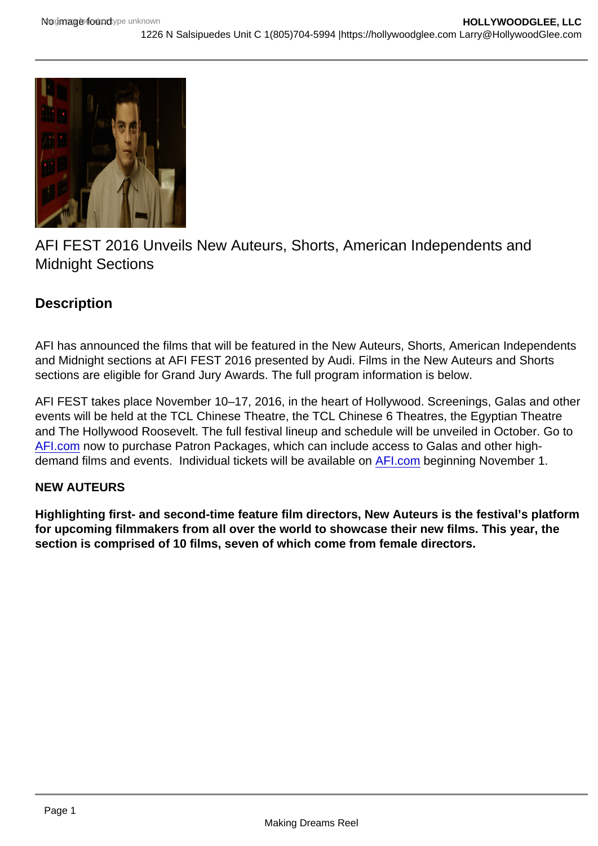# AFI FEST 2016 Unveils New Auteurs, Shorts, American Independents and Midnight Sections

## **Description**

AFI has announced the films that will be featured in the New Auteurs, Shorts, American Independents and Midnight sections at AFI FEST 2016 presented by Audi. Films in the New Auteurs and Shorts sections are eligible for Grand Jury Awards. The full program information is below.

AFI FEST takes place November 10–17, 2016, in the heart of Hollywood. Screenings, Galas and other events will be held at the TCL Chinese Theatre, the TCL Chinese 6 Theatres, the Egyptian Theatre and The Hollywood Roosevelt. The full festival lineup and schedule will be unveiled in October. Go to [AFI.com](http://afi.com/) now to purchase Patron Packages, which can include access to Galas and other highdemand films and events. Individual tickets will be available on [AFI.com](http://afi.com/) beginning November 1.

### NEW AUTEURS

Highlighting first- and second-time feature film directors, New Auteurs is the festival's platform for upcoming filmmakers from all over the world to showcase their new films. This year, the section is comprised of 10 films, seven of which come from female directors.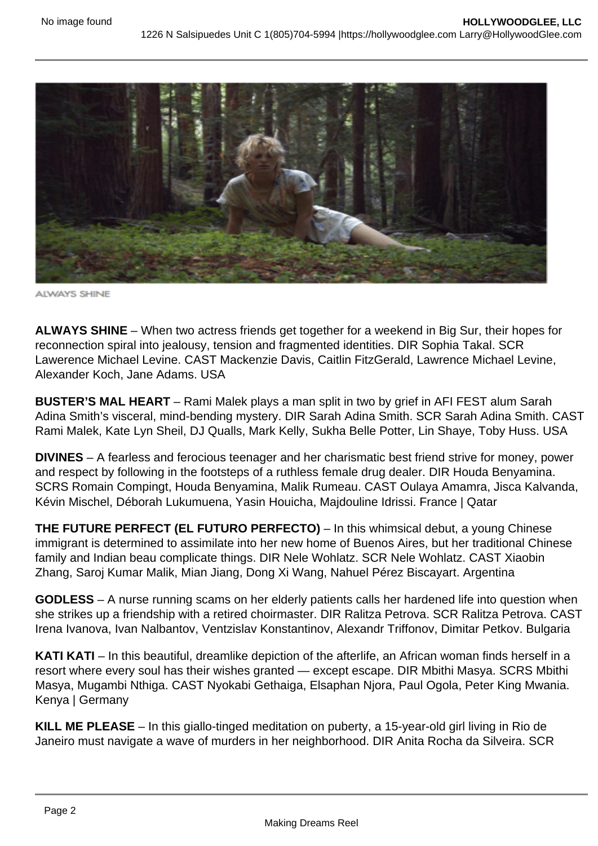

**ALWAYS SHINE** 

**ALWAYS SHINE** – When two actress friends get together for a weekend in Big Sur, their hopes for reconnection spiral into jealousy, tension and fragmented identities. DIR Sophia Takal. SCR Lawerence Michael Levine. CAST Mackenzie Davis, Caitlin FitzGerald, Lawrence Michael Levine, Alexander Koch, Jane Adams. USA

**BUSTER'S MAL HEART** – Rami Malek plays a man split in two by grief in AFI FEST alum Sarah Adina Smith's visceral, mind-bending mystery. DIR Sarah Adina Smith. SCR Sarah Adina Smith. CAST Rami Malek, Kate Lyn Sheil, DJ Qualls, Mark Kelly, Sukha Belle Potter, Lin Shaye, Toby Huss. USA

**DIVINES** – A fearless and ferocious teenager and her charismatic best friend strive for money, power and respect by following in the footsteps of a ruthless female drug dealer. DIR Houda Benyamina. SCRS Romain Compingt, Houda Benyamina, Malik Rumeau. CAST Oulaya Amamra, Jisca Kalvanda, Kévin Mischel, Déborah Lukumuena, Yasin Houicha, Majdouline Idrissi. France | Qatar

**THE FUTURE PERFECT (EL FUTURO PERFECTO)** – In this whimsical debut, a young Chinese immigrant is determined to assimilate into her new home of Buenos Aires, but her traditional Chinese family and Indian beau complicate things. DIR Nele Wohlatz. SCR Nele Wohlatz. CAST Xiaobin Zhang, Saroj Kumar Malik, Mian Jiang, Dong Xi Wang, Nahuel Pérez Biscayart. Argentina

**GODLESS** – A nurse running scams on her elderly patients calls her hardened life into question when she strikes up a friendship with a retired choirmaster. DIR Ralitza Petrova. SCR Ralitza Petrova. CAST Irena Ivanova, Ivan Nalbantov, Ventzislav Konstantinov, Alexandr Triffonov, Dimitar Petkov. Bulgaria

**KATI KATI** – In this beautiful, dreamlike depiction of the afterlife, an African woman finds herself in a resort where every soul has their wishes granted — except escape. DIR Mbithi Masya. SCRS Mbithi Masya, Mugambi Nthiga. CAST Nyokabi Gethaiga, Elsaphan Njora, Paul Ogola, Peter King Mwania. Kenya | Germany

**KILL ME PLEASE** – In this giallo-tinged meditation on puberty, a 15-year-old girl living in Rio de Janeiro must navigate a wave of murders in her neighborhood. DIR Anita Rocha da Silveira. SCR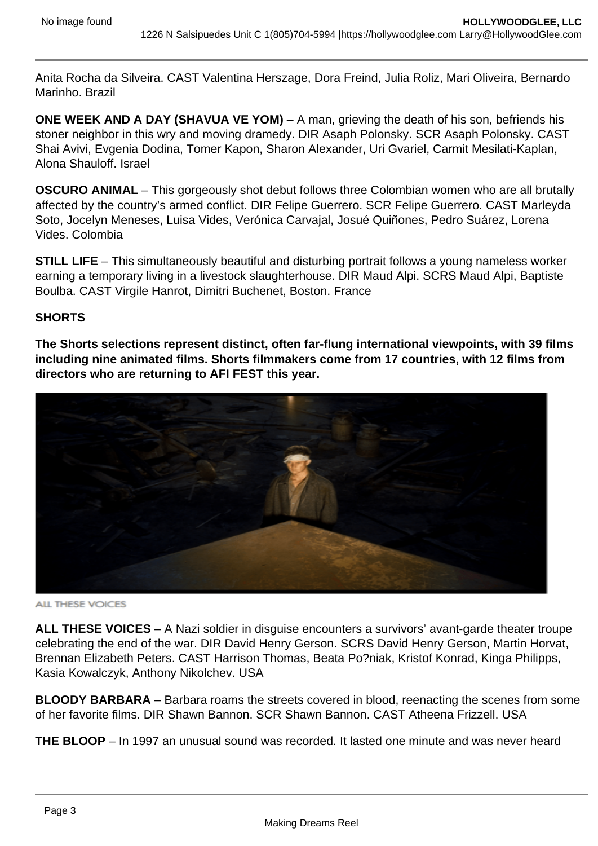Anita Rocha da Silveira. CAST Valentina Herszage, Dora Freind, Julia Roliz, Mari Oliveira, Bernardo Marinho. Brazil

**ONE WEEK AND A DAY (SHAVUA VE YOM)** – A man, grieving the death of his son, befriends his stoner neighbor in this wry and moving dramedy. DIR Asaph Polonsky. SCR Asaph Polonsky. CAST Shai Avivi, Evgenia Dodina, Tomer Kapon, Sharon Alexander, Uri Gvariel, Carmit Mesilati-Kaplan, Alona Shauloff. Israel

**OSCURO ANIMAL** – This gorgeously shot debut follows three Colombian women who are all brutally affected by the country's armed conflict. DIR Felipe Guerrero. SCR Felipe Guerrero. CAST Marleyda Soto, Jocelyn Meneses, Luisa Vides, Verónica Carvajal, Josué Quiñones, Pedro Suárez, Lorena Vides. Colombia

**STILL LIFE** – This simultaneously beautiful and disturbing portrait follows a young nameless worker earning a temporary living in a livestock slaughterhouse. DIR Maud Alpi. SCRS Maud Alpi, Baptiste Boulba. CAST Virgile Hanrot, Dimitri Buchenet, Boston. France

#### **SHORTS**

**The Shorts selections represent distinct, often far-flung international viewpoints, with 39 films including nine animated films. Shorts filmmakers come from 17 countries, with 12 films from directors who are returning to AFI FEST this year.**



**ALL THESE VOICES** 

**ALL THESE VOICES** – A Nazi soldier in disguise encounters a survivors' avant-garde theater troupe celebrating the end of the war. DIR David Henry Gerson. SCRS David Henry Gerson, Martin Horvat, Brennan Elizabeth Peters. CAST Harrison Thomas, Beata Po?niak, Kristof Konrad, Kinga Philipps, Kasia Kowalczyk, Anthony Nikolchev. USA

**BLOODY BARBARA** – Barbara roams the streets covered in blood, reenacting the scenes from some of her favorite films. DIR Shawn Bannon. SCR Shawn Bannon. CAST Atheena Frizzell. USA

**THE BLOOP** – In 1997 an unusual sound was recorded. It lasted one minute and was never heard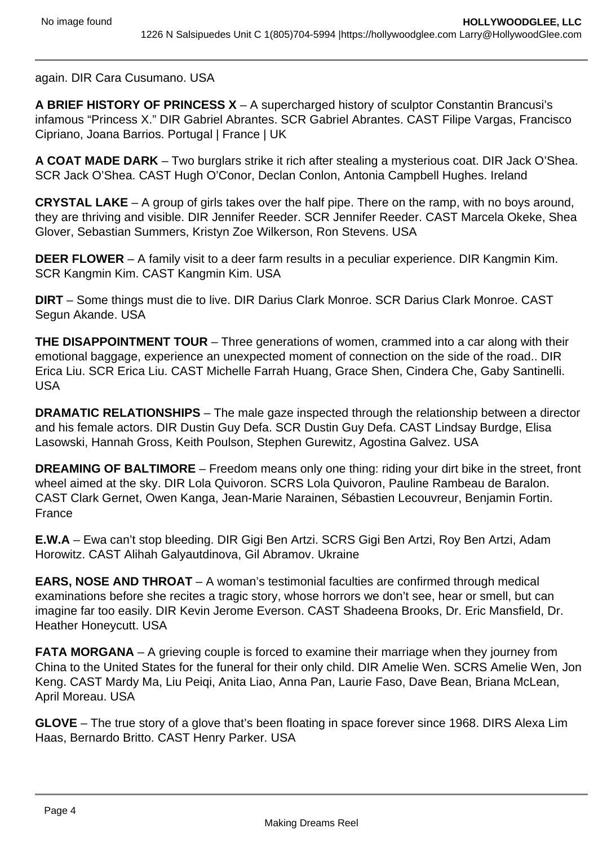again. DIR Cara Cusumano. USA

**A BRIEF HISTORY OF PRINCESS X** – A supercharged history of sculptor Constantin Brancusi's infamous "Princess X." DIR Gabriel Abrantes. SCR Gabriel Abrantes. CAST Filipe Vargas, Francisco Cipriano, Joana Barrios. Portugal | France | UK

**A COAT MADE DARK** – Two burglars strike it rich after stealing a mysterious coat. DIR Jack O'Shea. SCR Jack O'Shea. CAST Hugh O'Conor, Declan Conlon, Antonia Campbell Hughes. Ireland

**CRYSTAL LAKE** – A group of girls takes over the half pipe. There on the ramp, with no boys around, they are thriving and visible. DIR Jennifer Reeder. SCR Jennifer Reeder. CAST Marcela Okeke, Shea Glover, Sebastian Summers, Kristyn Zoe Wilkerson, Ron Stevens. USA

**DEER FLOWER** – A family visit to a deer farm results in a peculiar experience. DIR Kangmin Kim. SCR Kangmin Kim. CAST Kangmin Kim. USA

**DIRT** – Some things must die to live. DIR Darius Clark Monroe. SCR Darius Clark Monroe. CAST Segun Akande, USA

**THE DISAPPOINTMENT TOUR** – Three generations of women, crammed into a car along with their emotional baggage, experience an unexpected moment of connection on the side of the road.. DIR Erica Liu. SCR Erica Liu. CAST Michelle Farrah Huang, Grace Shen, Cindera Che, Gaby Santinelli. USA

**DRAMATIC RELATIONSHIPS** – The male gaze inspected through the relationship between a director and his female actors. DIR Dustin Guy Defa. SCR Dustin Guy Defa. CAST Lindsay Burdge, Elisa Lasowski, Hannah Gross, Keith Poulson, Stephen Gurewitz, Agostina Galvez. USA

**DREAMING OF BALTIMORE** – Freedom means only one thing: riding your dirt bike in the street, front wheel aimed at the sky. DIR Lola Quivoron. SCRS Lola Quivoron, Pauline Rambeau de Baralon. CAST Clark Gernet, Owen Kanga, Jean-Marie Narainen, Sébastien Lecouvreur, Benjamin Fortin. France

**E.W.A** – Ewa can't stop bleeding. DIR Gigi Ben Artzi. SCRS Gigi Ben Artzi, Roy Ben Artzi, Adam Horowitz. CAST Alihah Galyautdinova, Gil Abramov. Ukraine

**EARS, NOSE AND THROAT** – A woman's testimonial faculties are confirmed through medical examinations before she recites a tragic story, whose horrors we don't see, hear or smell, but can imagine far too easily. DIR Kevin Jerome Everson. CAST Shadeena Brooks, Dr. Eric Mansfield, Dr. Heather Honeycutt. USA

**FATA MORGANA** – A grieving couple is forced to examine their marriage when they journey from China to the United States for the funeral for their only child. DIR Amelie Wen. SCRS Amelie Wen, Jon Keng. CAST Mardy Ma, Liu Peiqi, Anita Liao, Anna Pan, Laurie Faso, Dave Bean, Briana McLean, April Moreau. USA

**GLOVE** – The true story of a glove that's been floating in space forever since 1968. DIRS Alexa Lim Haas, Bernardo Britto. CAST Henry Parker. USA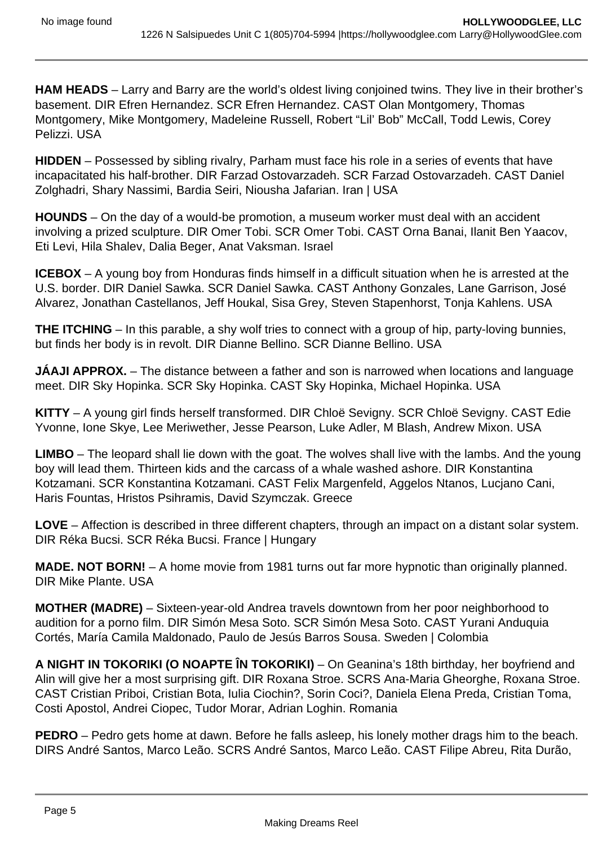**HAM HEADS** – Larry and Barry are the world's oldest living conjoined twins. They live in their brother's basement. DIR Efren Hernandez. SCR Efren Hernandez. CAST Olan Montgomery, Thomas Montgomery, Mike Montgomery, Madeleine Russell, Robert "Lil' Bob" McCall, Todd Lewis, Corey Pelizzi. USA

**HIDDEN** – Possessed by sibling rivalry, Parham must face his role in a series of events that have incapacitated his half-brother. DIR Farzad Ostovarzadeh. SCR Farzad Ostovarzadeh. CAST Daniel Zolghadri, Shary Nassimi, Bardia Seiri, Niousha Jafarian. Iran | USA

**HOUNDS** – On the day of a would-be promotion, a museum worker must deal with an accident involving a prized sculpture. DIR Omer Tobi. SCR Omer Tobi. CAST Orna Banai, Ilanit Ben Yaacov, Eti Levi, Hila Shalev, Dalia Beger, Anat Vaksman. Israel

**ICEBOX** – A young boy from Honduras finds himself in a difficult situation when he is arrested at the U.S. border. DIR Daniel Sawka. SCR Daniel Sawka. CAST Anthony Gonzales, Lane Garrison, José Alvarez, Jonathan Castellanos, Jeff Houkal, Sisa Grey, Steven Stapenhorst, Tonja Kahlens. USA

**THE ITCHING** – In this parable, a shy wolf tries to connect with a group of hip, party-loving bunnies, but finds her body is in revolt. DIR Dianne Bellino. SCR Dianne Bellino. USA

**JÁAJI APPROX.** – The distance between a father and son is narrowed when locations and language meet. DIR Sky Hopinka. SCR Sky Hopinka. CAST Sky Hopinka, Michael Hopinka. USA

**KITTY** – A young girl finds herself transformed. DIR Chloë Sevigny. SCR Chloë Sevigny. CAST Edie Yvonne, Ione Skye, Lee Meriwether, Jesse Pearson, Luke Adler, M Blash, Andrew Mixon. USA

**LIMBO** – The leopard shall lie down with the goat. The wolves shall live with the lambs. And the young boy will lead them. Thirteen kids and the carcass of a whale washed ashore. DIR Konstantina Kotzamani. SCR Konstantina Kotzamani. CAST Felix Margenfeld, Aggelos Ntanos, Lucjano Cani, Haris Fountas, Hristos Psihramis, David Szymczak. Greece

**LOVE** – Affection is described in three different chapters, through an impact on a distant solar system. DIR Réka Bucsi. SCR Réka Bucsi. France | Hungary

**MADE. NOT BORN!** – A home movie from 1981 turns out far more hypnotic than originally planned. DIR Mike Plante. USA

**MOTHER (MADRE)** – Sixteen-year-old Andrea travels downtown from her poor neighborhood to audition for a porno film. DIR Simón Mesa Soto. SCR Simón Mesa Soto. CAST Yurani Anduquia Cortés, María Camila Maldonado, Paulo de Jesús Barros Sousa. Sweden | Colombia

**A NIGHT IN TOKORIKI (O NOAPTE ÎN TOKORIKI)** – On Geanina's 18th birthday, her boyfriend and Alin will give her a most surprising gift. DIR Roxana Stroe. SCRS Ana-Maria Gheorghe, Roxana Stroe. CAST Cristian Priboi, Cristian Bota, Iulia Ciochin?, Sorin Coci?, Daniela Elena Preda, Cristian Toma, Costi Apostol, Andrei Ciopec, Tudor Morar, Adrian Loghin. Romania

**PEDRO** – Pedro gets home at dawn. Before he falls asleep, his lonely mother drags him to the beach. DIRS André Santos, Marco Leão. SCRS André Santos, Marco Leão. CAST Filipe Abreu, Rita Durão,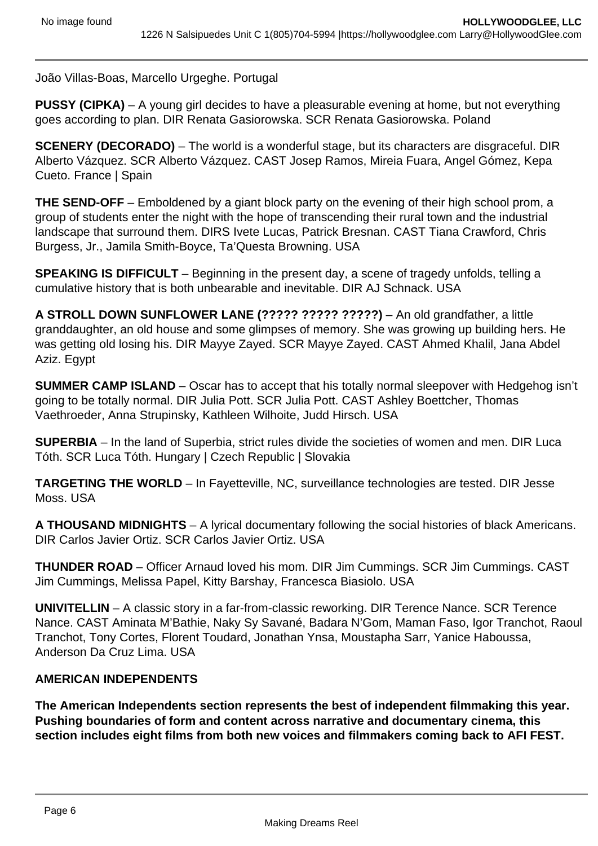João Villas-Boas, Marcello Urgeghe. Portugal

**PUSSY (CIPKA)** – A young girl decides to have a pleasurable evening at home, but not everything goes according to plan. DIR Renata Gasiorowska. SCR Renata Gasiorowska. Poland

**SCENERY (DECORADO)** – The world is a wonderful stage, but its characters are disgraceful. DIR Alberto Vázquez. SCR Alberto Vázquez. CAST Josep Ramos, Mireia Fuara, Angel Gómez, Kepa Cueto. France | Spain

**THE SEND-OFF** – Emboldened by a giant block party on the evening of their high school prom, a group of students enter the night with the hope of transcending their rural town and the industrial landscape that surround them. DIRS Ivete Lucas, Patrick Bresnan. CAST Tiana Crawford, Chris Burgess, Jr., Jamila Smith-Boyce, Ta'Questa Browning. USA

**SPEAKING IS DIFFICULT** – Beginning in the present day, a scene of tragedy unfolds, telling a cumulative history that is both unbearable and inevitable. DIR AJ Schnack. USA

**A STROLL DOWN SUNFLOWER LANE (????? ????? ?????)** – An old grandfather, a little granddaughter, an old house and some glimpses of memory. She was growing up building hers. He was getting old losing his. DIR Mayye Zayed. SCR Mayye Zayed. CAST Ahmed Khalil, Jana Abdel Aziz. Egypt

**SUMMER CAMP ISLAND** – Oscar has to accept that his totally normal sleepover with Hedgehog isn't going to be totally normal. DIR Julia Pott. SCR Julia Pott. CAST Ashley Boettcher, Thomas Vaethroeder, Anna Strupinsky, Kathleen Wilhoite, Judd Hirsch. USA

**SUPERBIA** – In the land of Superbia, strict rules divide the societies of women and men. DIR Luca Tóth. SCR Luca Tóth. Hungary | Czech Republic | Slovakia

**TARGETING THE WORLD** – In Fayetteville, NC, surveillance technologies are tested. DIR Jesse Moss. USA

**A THOUSAND MIDNIGHTS** – A lyrical documentary following the social histories of black Americans. DIR Carlos Javier Ortiz. SCR Carlos Javier Ortiz. USA

**THUNDER ROAD** – Officer Arnaud loved his mom. DIR Jim Cummings. SCR Jim Cummings. CAST Jim Cummings, Melissa Papel, Kitty Barshay, Francesca Biasiolo. USA

**UNIVITELLIN** – A classic story in a far-from-classic reworking. DIR Terence Nance. SCR Terence Nance. CAST Aminata M'Bathie, Naky Sy Savané, Badara N'Gom, Maman Faso, Igor Tranchot, Raoul Tranchot, Tony Cortes, Florent Toudard, Jonathan Ynsa, Moustapha Sarr, Yanice Haboussa, Anderson Da Cruz Lima. USA

#### **AMERICAN INDEPENDENTS**

**The American Independents section represents the best of independent filmmaking this year. Pushing boundaries of form and content across narrative and documentary cinema, this section includes eight films from both new voices and filmmakers coming back to AFI FEST.**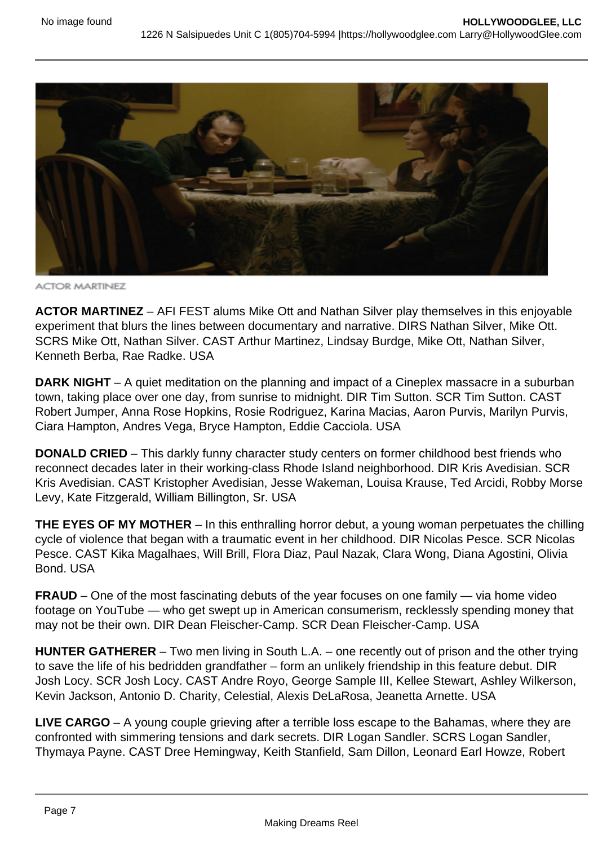

**ACTOR MARTINEZ** 

**ACTOR MARTINEZ** – AFI FEST alums Mike Ott and Nathan Silver play themselves in this enjoyable experiment that blurs the lines between documentary and narrative. DIRS Nathan Silver, Mike Ott. SCRS Mike Ott, Nathan Silver. CAST Arthur Martinez, Lindsay Burdge, Mike Ott, Nathan Silver, Kenneth Berba, Rae Radke. USA

**DARK NIGHT** – A quiet meditation on the planning and impact of a Cineplex massacre in a suburban town, taking place over one day, from sunrise to midnight. DIR Tim Sutton. SCR Tim Sutton. CAST Robert Jumper, Anna Rose Hopkins, Rosie Rodriguez, Karina Macias, Aaron Purvis, Marilyn Purvis, Ciara Hampton, Andres Vega, Bryce Hampton, Eddie Cacciola. USA

**DONALD CRIED** – This darkly funny character study centers on former childhood best friends who reconnect decades later in their working-class Rhode Island neighborhood. DIR Kris Avedisian. SCR Kris Avedisian. CAST Kristopher Avedisian, Jesse Wakeman, Louisa Krause, Ted Arcidi, Robby Morse Levy, Kate Fitzgerald, William Billington, Sr. USA

**THE EYES OF MY MOTHER** – In this enthralling horror debut, a young woman perpetuates the chilling cycle of violence that began with a traumatic event in her childhood. DIR Nicolas Pesce. SCR Nicolas Pesce. CAST Kika Magalhaes, Will Brill, Flora Diaz, Paul Nazak, Clara Wong, Diana Agostini, Olivia Bond. USA

**FRAUD** – One of the most fascinating debuts of the year focuses on one family — via home video footage on YouTube — who get swept up in American consumerism, recklessly spending money that may not be their own. DIR Dean Fleischer-Camp. SCR Dean Fleischer-Camp. USA

**HUNTER GATHERER** – Two men living in South L.A. – one recently out of prison and the other trying to save the life of his bedridden grandfather – form an unlikely friendship in this feature debut. DIR Josh Locy. SCR Josh Locy. CAST Andre Royo, George Sample III, Kellee Stewart, Ashley Wilkerson, Kevin Jackson, Antonio D. Charity, Celestial, Alexis DeLaRosa, Jeanetta Arnette. USA

**LIVE CARGO** – A young couple grieving after a terrible loss escape to the Bahamas, where they are confronted with simmering tensions and dark secrets. DIR Logan Sandler. SCRS Logan Sandler, Thymaya Payne. CAST Dree Hemingway, Keith Stanfield, Sam Dillon, Leonard Earl Howze, Robert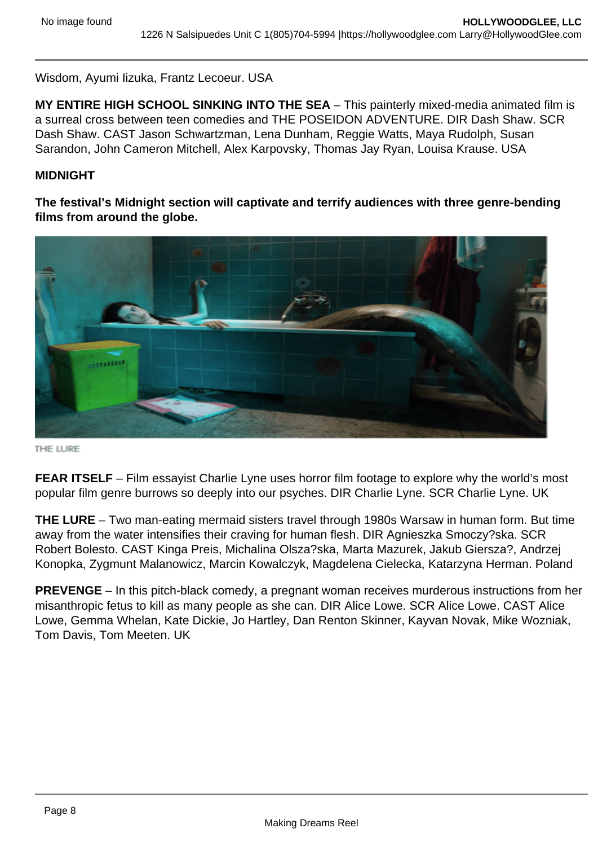Wisdom, Ayumi Iizuka, Frantz Lecoeur. USA

**MY ENTIRE HIGH SCHOOL SINKING INTO THE SEA** – This painterly mixed-media animated film is a surreal cross between teen comedies and THE POSEIDON ADVENTURE. DIR Dash Shaw. SCR Dash Shaw. CAST Jason Schwartzman, Lena Dunham, Reggie Watts, Maya Rudolph, Susan Sarandon, John Cameron Mitchell, Alex Karpovsky, Thomas Jay Ryan, Louisa Krause. USA

#### **MIDNIGHT**

**The festival's Midnight section will captivate and terrify audiences with three genre-bending films from around the globe.**



THE LURE

**FEAR ITSELF** – Film essayist Charlie Lyne uses horror film footage to explore why the world's most popular film genre burrows so deeply into our psyches. DIR Charlie Lyne. SCR Charlie Lyne. UK

**THE LURE** – Two man-eating mermaid sisters travel through 1980s Warsaw in human form. But time away from the water intensifies their craving for human flesh. DIR Agnieszka Smoczy?ska. SCR Robert Bolesto. CAST Kinga Preis, Michalina Olsza?ska, Marta Mazurek, Jakub Giersza?, Andrzej Konopka, Zygmunt Malanowicz, Marcin Kowalczyk, Magdelena Cielecka, Katarzyna Herman. Poland

**PREVENGE** – In this pitch-black comedy, a pregnant woman receives murderous instructions from her misanthropic fetus to kill as many people as she can. DIR Alice Lowe. SCR Alice Lowe. CAST Alice Lowe, Gemma Whelan, Kate Dickie, Jo Hartley, Dan Renton Skinner, Kayvan Novak, Mike Wozniak, Tom Davis, Tom Meeten. UK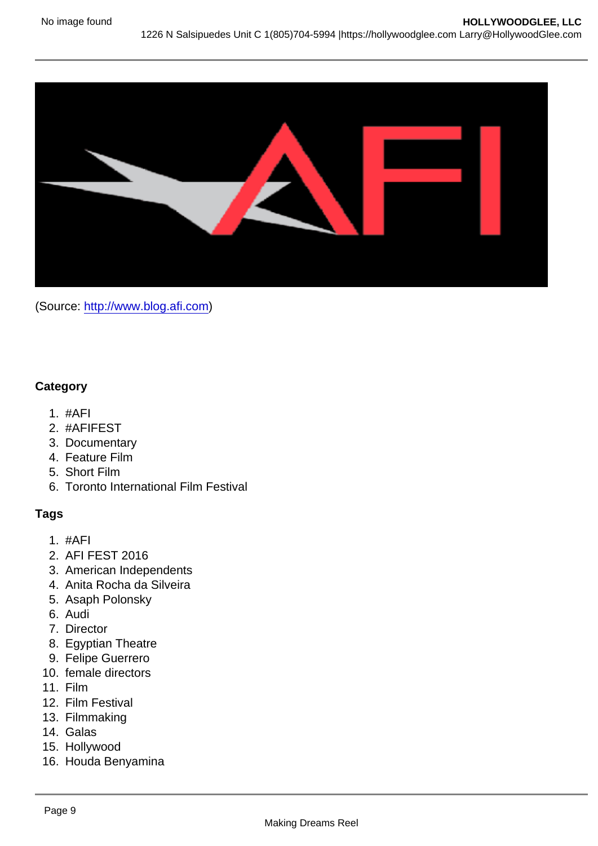(Source: [http://www.blog.afi.com\)](http://www.blog.afi.com)

**Category** 

- 1. #AFI
- 2. #AFIFEST
- 3. Documentary
- 4. Feature Film
- 5. Short Film
- 6. Toronto International Film Festival

Tags

- 1. #AFI
- 2. AFI FEST 2016
- 3. American Independents
- 4. Anita Rocha da Silveira
- 5. Asaph Polonsky
- 6. Audi
- 7. Director
- 8. Egyptian Theatre
- 9. Felipe Guerrero
- 10. female directors
- 11. Film
- 12. Film Festival
- 13. Filmmaking
- 14. Galas
- 15. Hollywood
- 16. Houda Benyamina